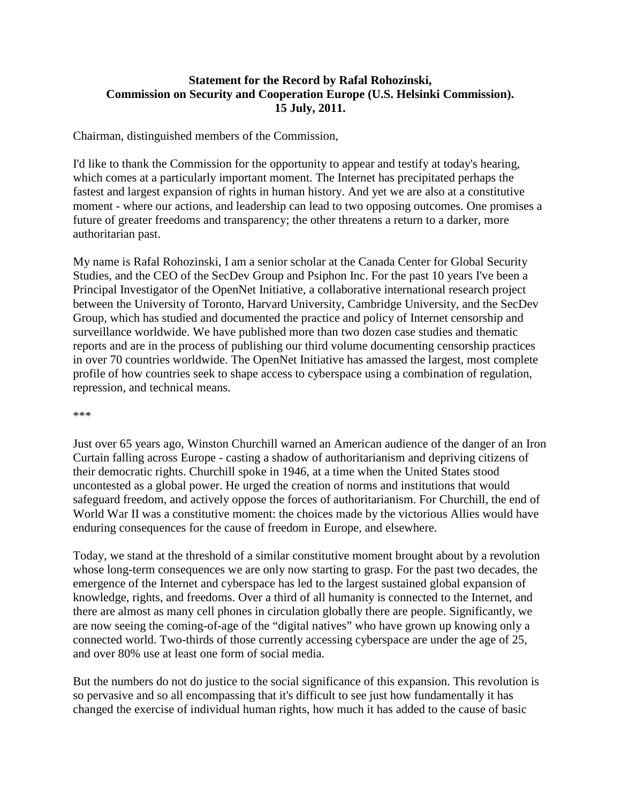## **Statement for the Record by Rafal Rohozinski, Commission on Security and Cooperation Europe (U.S. Helsinki Commission). 15 July, 2011.**

Chairman, distinguished members of the Commission,

I'd like to thank the Commission for the opportunity to appear and testify at today's hearing, which comes at a particularly important moment. The Internet has precipitated perhaps the fastest and largest expansion of rights in human history. And yet we are also at a constitutive moment - where our actions, and leadership can lead to two opposing outcomes. One promises a future of greater freedoms and transparency; the other threatens a return to a darker, more authoritarian past.

My name is Rafal Rohozinski, I am a senior scholar at the Canada Center for Global Security Studies, and the CEO of the SecDev Group and Psiphon Inc. For the past 10 years I've been a Principal Investigator of the OpenNet Initiative, a collaborative international research project between the University of Toronto, Harvard University, Cambridge University, and the SecDev Group, which has studied and documented the practice and policy of Internet censorship and surveillance worldwide. We have published more than two dozen case studies and thematic reports and are in the process of publishing our third volume documenting censorship practices in over 70 countries worldwide. The OpenNet Initiative has amassed the largest, most complete profile of how countries seek to shape access to cyberspace using a combination of regulation, repression, and technical means.

\*\*\*

Just over 65 years ago, Winston Churchill warned an American audience of the danger of an Iron Curtain falling across Europe - casting a shadow of authoritarianism and depriving citizens of their democratic rights. Churchill spoke in 1946, at a time when the United States stood uncontested as a global power. He urged the creation of norms and institutions that would safeguard freedom, and actively oppose the forces of authoritarianism. For Churchill, the end of World War II was a constitutive moment: the choices made by the victorious Allies would have enduring consequences for the cause of freedom in Europe, and elsewhere.

Today, we stand at the threshold of a similar constitutive moment brought about by a revolution whose long-term consequences we are only now starting to grasp. For the past two decades, the emergence of the Internet and cyberspace has led to the largest sustained global expansion of knowledge, rights, and freedoms. Over a third of all humanity is connected to the Internet, and there are almost as many cell phones in circulation globally there are people. Significantly, we are now seeing the coming-of-age of the "digital natives" who have grown up knowing only a connected world. Two-thirds of those currently accessing cyberspace are under the age of 25, and over 80% use at least one form of social media.

But the numbers do not do justice to the social significance of this expansion. This revolution is so pervasive and so all encompassing that it's difficult to see just how fundamentally it has changed the exercise of individual human rights, how much it has added to the cause of basic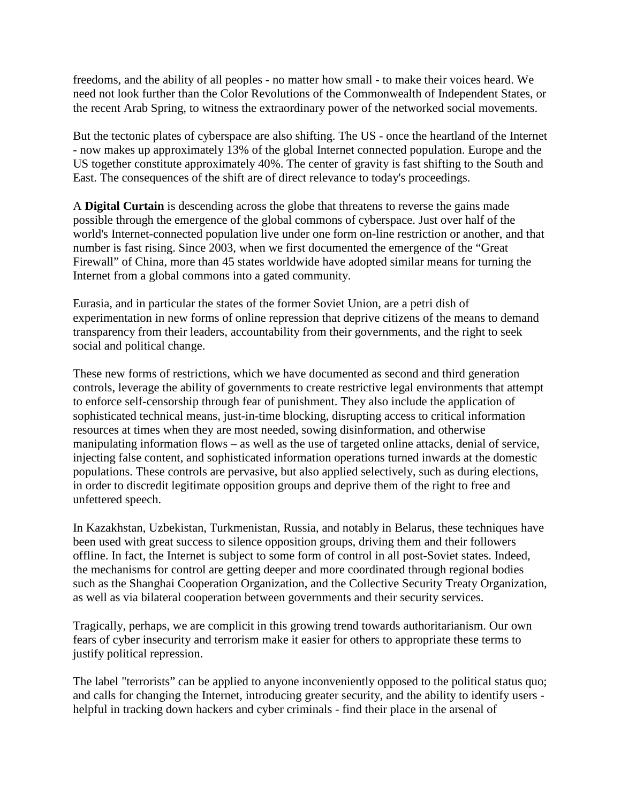freedoms, and the ability of all peoples - no matter how small - to make their voices heard. We need not look further than the Color Revolutions of the Commonwealth of Independent States, or the recent Arab Spring, to witness the extraordinary power of the networked social movements.

But the tectonic plates of cyberspace are also shifting. The US - once the heartland of the Internet - now makes up approximately 13% of the global Internet connected population. Europe and the US together constitute approximately 40%. The center of gravity is fast shifting to the South and East. The consequences of the shift are of direct relevance to today's proceedings.

A **Digital Curtain** is descending across the globe that threatens to reverse the gains made possible through the emergence of the global commons of cyberspace. Just over half of the world's Internet-connected population live under one form on-line restriction or another, and that number is fast rising. Since 2003, when we first documented the emergence of the "Great Firewall" of China, more than 45 states worldwide have adopted similar means for turning the Internet from a global commons into a gated community.

Eurasia, and in particular the states of the former Soviet Union, are a petri dish of experimentation in new forms of online repression that deprive citizens of the means to demand transparency from their leaders, accountability from their governments, and the right to seek social and political change.

These new forms of restrictions, which we have documented as second and third generation controls, leverage the ability of governments to create restrictive legal environments that attempt to enforce self-censorship through fear of punishment. They also include the application of sophisticated technical means, just-in-time blocking, disrupting access to critical information resources at times when they are most needed, sowing disinformation, and otherwise manipulating information flows – as well as the use of targeted online attacks, denial of service, injecting false content, and sophisticated information operations turned inwards at the domestic populations. These controls are pervasive, but also applied selectively, such as during elections, in order to discredit legitimate opposition groups and deprive them of the right to free and unfettered speech.

In Kazakhstan, Uzbekistan, Turkmenistan, Russia, and notably in Belarus, these techniques have been used with great success to silence opposition groups, driving them and their followers offline. In fact, the Internet is subject to some form of control in all post-Soviet states. Indeed, the mechanisms for control are getting deeper and more coordinated through regional bodies such as the Shanghai Cooperation Organization, and the Collective Security Treaty Organization, as well as via bilateral cooperation between governments and their security services.

Tragically, perhaps, we are complicit in this growing trend towards authoritarianism. Our own fears of cyber insecurity and terrorism make it easier for others to appropriate these terms to justify political repression.

The label "terrorists" can be applied to anyone inconveniently opposed to the political status quo; and calls for changing the Internet, introducing greater security, and the ability to identify users helpful in tracking down hackers and cyber criminals - find their place in the arsenal of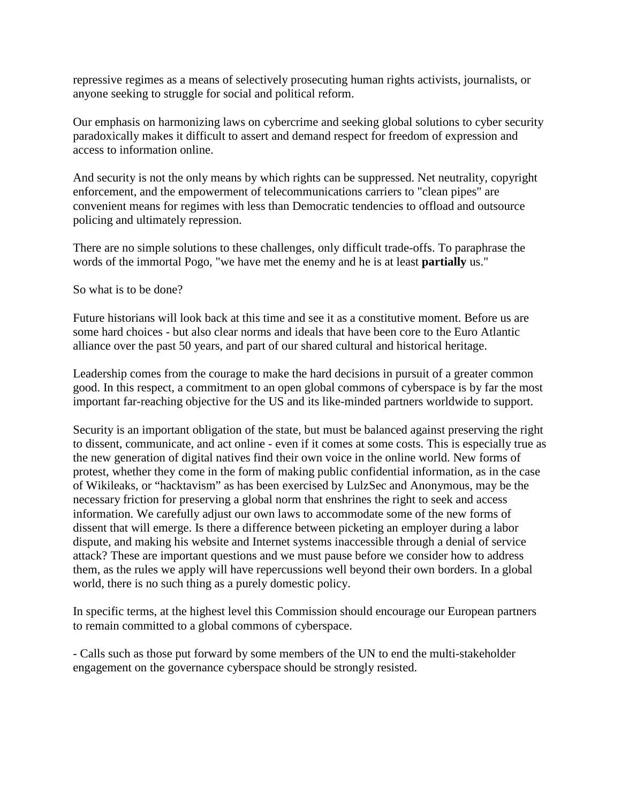repressive regimes as a means of selectively prosecuting human rights activists, journalists, or anyone seeking to struggle for social and political reform.

Our emphasis on harmonizing laws on cybercrime and seeking global solutions to cyber security paradoxically makes it difficult to assert and demand respect for freedom of expression and access to information online.

And security is not the only means by which rights can be suppressed. Net neutrality, copyright enforcement, and the empowerment of telecommunications carriers to "clean pipes" are convenient means for regimes with less than Democratic tendencies to offload and outsource policing and ultimately repression.

There are no simple solutions to these challenges, only difficult trade-offs. To paraphrase the words of the immortal Pogo, "we have met the enemy and he is at least **partially** us."

So what is to be done?

Future historians will look back at this time and see it as a constitutive moment. Before us are some hard choices - but also clear norms and ideals that have been core to the Euro Atlantic alliance over the past 50 years, and part of our shared cultural and historical heritage.

Leadership comes from the courage to make the hard decisions in pursuit of a greater common good. In this respect, a commitment to an open global commons of cyberspace is by far the most important far-reaching objective for the US and its like-minded partners worldwide to support.

Security is an important obligation of the state, but must be balanced against preserving the right to dissent, communicate, and act online - even if it comes at some costs. This is especially true as the new generation of digital natives find their own voice in the online world. New forms of protest, whether they come in the form of making public confidential information, as in the case of Wikileaks, or "hacktavism" as has been exercised by LulzSec and Anonymous, may be the necessary friction for preserving a global norm that enshrines the right to seek and access information. We carefully adjust our own laws to accommodate some of the new forms of dissent that will emerge. Is there a difference between picketing an employer during a labor dispute, and making his website and Internet systems inaccessible through a denial of service attack? These are important questions and we must pause before we consider how to address them, as the rules we apply will have repercussions well beyond their own borders. In a global world, there is no such thing as a purely domestic policy.

In specific terms, at the highest level this Commission should encourage our European partners to remain committed to a global commons of cyberspace.

- Calls such as those put forward by some members of the UN to end the multi-stakeholder engagement on the governance cyberspace should be strongly resisted.